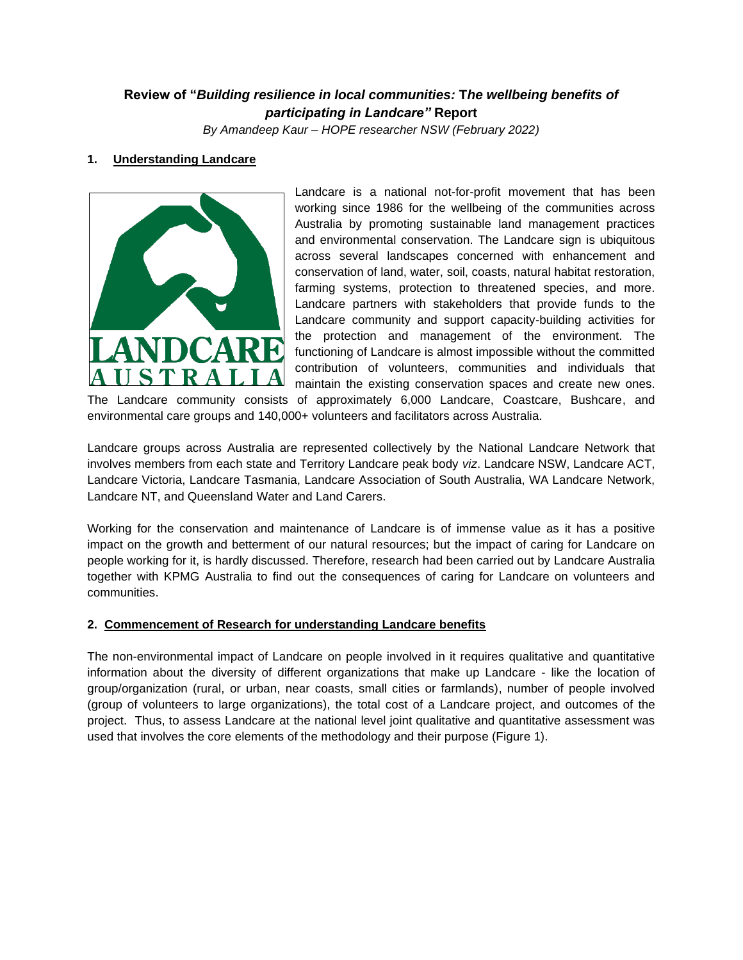# **Review of "***Building resilience in local communities:* **T***he wellbeing benefits of participating in Landcare"* **Report**

*By Amandeep Kaur – HOPE researcher NSW (February 2022)*

# **1. Understanding Landcare**



Landcare is a national not-for-profit movement that has been working since 1986 for the wellbeing of the communities across Australia by promoting sustainable land management practices and environmental conservation. The Landcare sign is ubiquitous across several landscapes concerned with enhancement and conservation of land, water, soil, coasts, natural habitat restoration, farming systems, protection to threatened species, and more. Landcare partners with stakeholders that provide funds to the Landcare community and support capacity-building activities for the protection and management of the environment. The functioning of Landcare is almost impossible without the committed contribution of volunteers, communities and individuals that maintain the existing conservation spaces and create new ones.

The Landcare community consists of approximately 6,000 Landcare, Coastcare, Bushcare, and environmental care groups and 140,000+ volunteers and facilitators across Australia.

Landcare groups across Australia are represented collectively by the National Landcare Network that involves members from each state and Territory Landcare peak body *viz*. Landcare NSW, Landcare ACT, Landcare Victoria, Landcare Tasmania, Landcare Association of South Australia, WA Landcare Network, Landcare NT, and Queensland Water and Land Carers.

Working for the conservation and maintenance of Landcare is of immense value as it has a positive impact on the growth and betterment of our natural resources; but the impact of caring for Landcare on people working for it, is hardly discussed. Therefore, research had been carried out by Landcare Australia together with KPMG Australia to find out the consequences of caring for Landcare on volunteers and communities.

### **2. Commencement of Research for understanding Landcare benefits**

The non-environmental impact of Landcare on people involved in it requires qualitative and quantitative information about the diversity of different organizations that make up Landcare - like the location of group/organization (rural, or urban, near coasts, small cities or farmlands), number of people involved (group of volunteers to large organizations), the total cost of a Landcare project, and outcomes of the project. Thus, to assess Landcare at the national level joint qualitative and quantitative assessment was used that involves the core elements of the methodology and their purpose (Figure 1).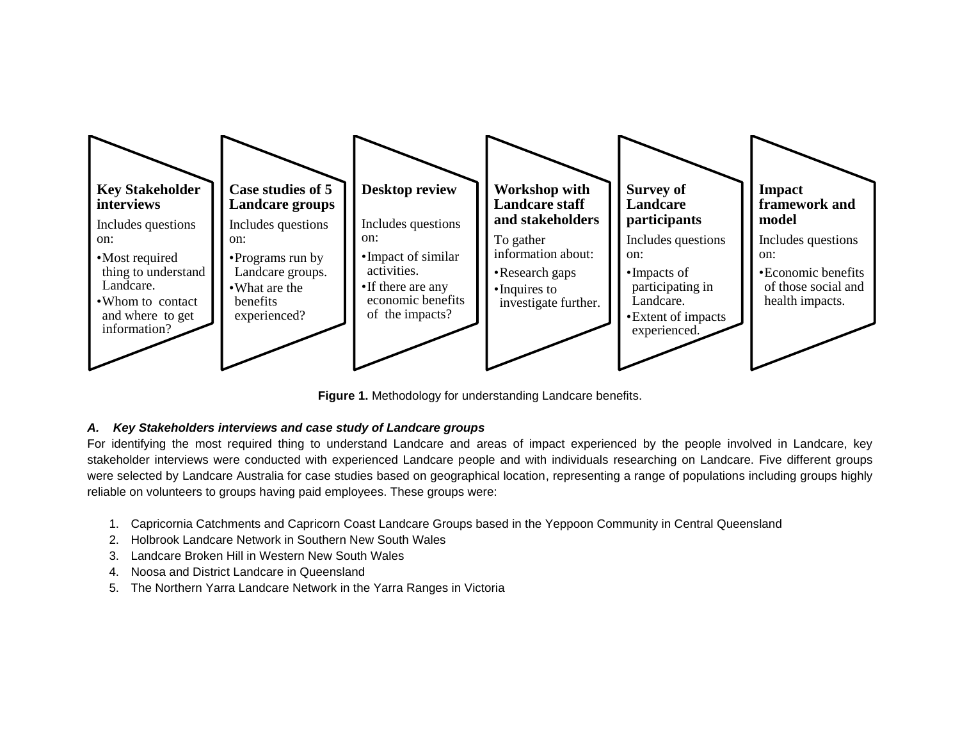

**Figure 1.** Methodology for understanding Landcare benefits.

## *A. Key Stakeholders interviews and case study of Landcare groups*

For identifying the most required thing to understand Landcare and areas of impact experienced by the people involved in Landcare, key stakeholder interviews were conducted with experienced Landcare people and with individuals researching on Landcare. Five different groups were selected by Landcare Australia for case studies based on geographical location, representing a range of populations including groups highly reliable on volunteers to groups having paid employees. These groups were:

- 1. Capricornia Catchments and Capricorn Coast Landcare Groups based in the Yeppoon Community in Central Queensland
- 2. Holbrook Landcare Network in Southern New South Wales
- 3. Landcare Broken Hill in Western New South Wales
- 4. Noosa and District Landcare in Queensland
- 5. The Northern Yarra Landcare Network in the Yarra Ranges in Victoria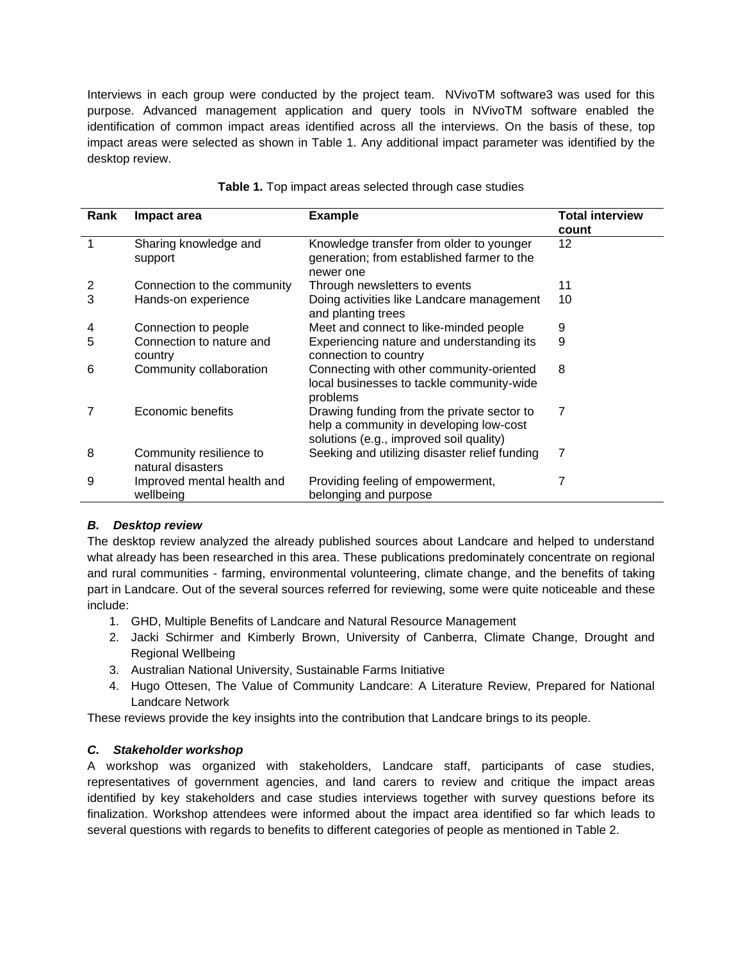Interviews in each group were conducted by the project team. NVivoTM software3 was used for this purpose. Advanced management application and query tools in NVivoTM software enabled the identification of common impact areas identified across all the interviews. On the basis of these, top impact areas were selected as shown in Table 1. Any additional impact parameter was identified by the desktop review.

| <b>Rank</b> | Impact area                                  | <b>Example</b>                                                                                                                   | <b>Total interview</b><br>count |
|-------------|----------------------------------------------|----------------------------------------------------------------------------------------------------------------------------------|---------------------------------|
| 1           | Sharing knowledge and<br>support             | Knowledge transfer from older to younger<br>generation; from established farmer to the<br>newer one                              | 12                              |
| 2           | Connection to the community                  | Through newsletters to events                                                                                                    | 11                              |
| 3           | Hands-on experience                          | Doing activities like Landcare management<br>and planting trees                                                                  | 10                              |
| 4           | Connection to people                         | Meet and connect to like-minded people                                                                                           | 9                               |
| 5           | Connection to nature and<br>country          | Experiencing nature and understanding its<br>connection to country                                                               | 9                               |
| 6           | Community collaboration                      | Connecting with other community-oriented<br>local businesses to tackle community-wide<br>problems                                | 8                               |
|             | Economic benefits                            | Drawing funding from the private sector to<br>help a community in developing low-cost<br>solutions (e.g., improved soil quality) | 7                               |
| 8           | Community resilience to<br>natural disasters | Seeking and utilizing disaster relief funding                                                                                    | 7                               |
| 9           | Improved mental health and<br>wellbeing      | Providing feeling of empowerment,<br>belonging and purpose                                                                       |                                 |

#### **Table 1.** Top impact areas selected through case studies

### *B. Desktop review*

The desktop review analyzed the already published sources about Landcare and helped to understand what already has been researched in this area. These publications predominately concentrate on regional and rural communities - farming, environmental volunteering, climate change, and the benefits of taking part in Landcare. Out of the several sources referred for reviewing, some were quite noticeable and these include:

- 1. GHD, Multiple Benefits of Landcare and Natural Resource Management
- 2. Jacki Schirmer and Kimberly Brown, University of Canberra, Climate Change, Drought and Regional Wellbeing
- 3. Australian National University, Sustainable Farms Initiative
- 4. Hugo Ottesen, The Value of Community Landcare: A Literature Review, Prepared for National Landcare Network

These reviews provide the key insights into the contribution that Landcare brings to its people.

### *C. Stakeholder workshop*

A workshop was organized with stakeholders, Landcare staff, participants of case studies, representatives of government agencies, and land carers to review and critique the impact areas identified by key stakeholders and case studies interviews together with survey questions before its finalization. Workshop attendees were informed about the impact area identified so far which leads to several questions with regards to benefits to different categories of people as mentioned in Table 2.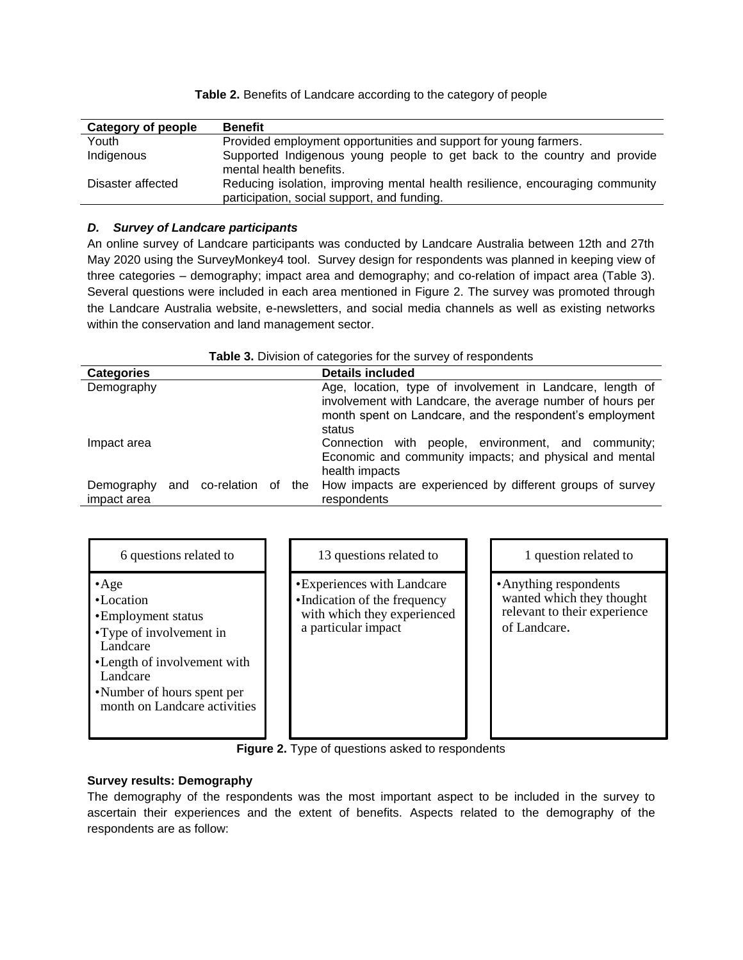| Category of people | <b>Benefit</b>                                                                                                               |
|--------------------|------------------------------------------------------------------------------------------------------------------------------|
| Youth              | Provided employment opportunities and support for young farmers.                                                             |
| Indigenous         | Supported Indigenous young people to get back to the country and provide<br>mental health benefits.                          |
| Disaster affected  | Reducing isolation, improving mental health resilience, encouraging community<br>participation, social support, and funding. |

#### **Table 2.** Benefits of Landcare according to the category of people

#### *D. Survey of Landcare participants*

An online survey of Landcare participants was conducted by Landcare Australia between 12th and 27th May 2020 using the SurveyMonkey4 tool. Survey design for respondents was planned in keeping view of three categories – demography; impact area and demography; and co-relation of impact area (Table 3). Several questions were included in each area mentioned in Figure 2. The survey was promoted through the Landcare Australia website, e-newsletters, and social media channels as well as existing networks within the conservation and land management sector.

| Table 3. Division of categories for the survey of respondents |  |  |  |  |
|---------------------------------------------------------------|--|--|--|--|
|---------------------------------------------------------------|--|--|--|--|

| <b>Categories</b>         |     |             |                                                                                                                                                                                               |     | <b>Details included</b>                                                                                                          |
|---------------------------|-----|-------------|-----------------------------------------------------------------------------------------------------------------------------------------------------------------------------------------------|-----|----------------------------------------------------------------------------------------------------------------------------------|
| Demography                |     |             | Age, location, type of involvement in Landcare, length of<br>involvement with Landcare, the average number of hours per<br>month spent on Landcare, and the respondent's employment<br>status |     |                                                                                                                                  |
| Impact area               |     |             |                                                                                                                                                                                               |     | Connection with people, environment, and community;<br>Economic and community impacts; and physical and mental<br>health impacts |
| Demography<br>impact area | and | co-relation | οf                                                                                                                                                                                            | the | How impacts are experienced by different groups of survey<br>respondents                                                         |

| 6 questions related to                                                                                                                                                                             | 13 questions related to                                                                                           | 1 question related to                                                                               |
|----------------------------------------------------------------------------------------------------------------------------------------------------------------------------------------------------|-------------------------------------------------------------------------------------------------------------------|-----------------------------------------------------------------------------------------------------|
| $\bullet$ Age<br>•Location<br>• Employment status<br>•Type of involvement in<br>Landcare<br>•Length of involvement with<br>Landcare<br>• Number of hours spent per<br>month on Landcare activities | • Experiences with Landcare<br>•Indication of the frequency<br>with which they experienced<br>a particular impact | • Anything respondents<br>wanted which they thought<br>relevant to their experience<br>of Landcare. |

**Figure 2.** Type of questions asked to respondents

### **Survey results: Demography**

The demography of the respondents was the most important aspect to be included in the survey to ascertain their experiences and the extent of benefits. Aspects related to the demography of the respondents are as follow: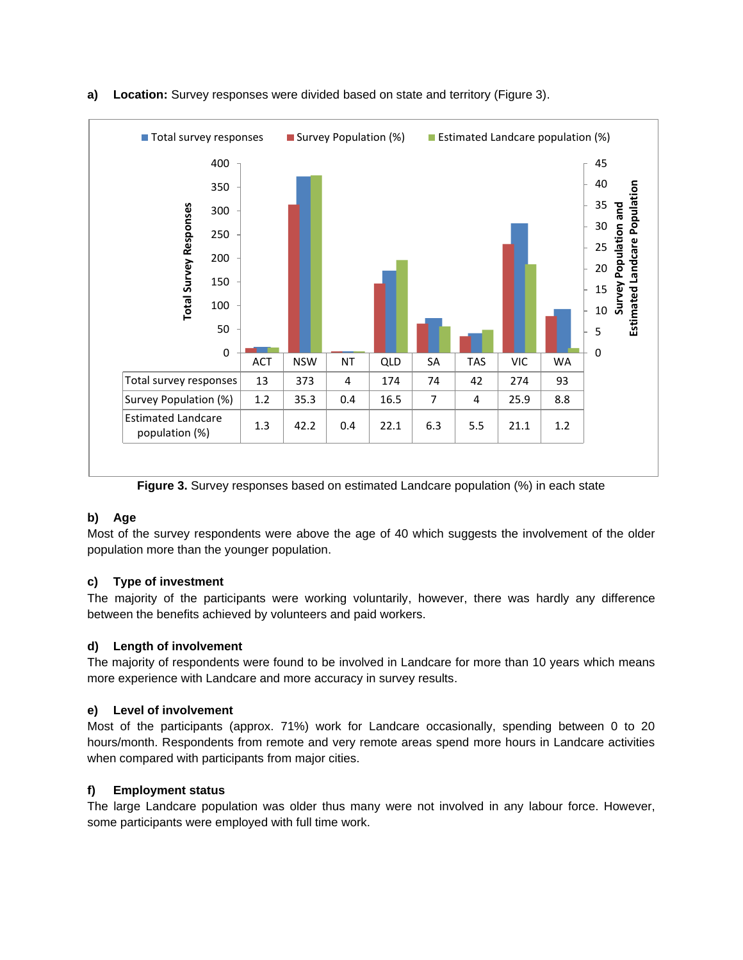

### **a) Location:** Survey responses were divided based on state and territory (Figure 3).

**Figure 3.** Survey responses based on estimated Landcare population (%) in each state

# **b) Age**

Most of the survey respondents were above the age of 40 which suggests the involvement of the older population more than the younger population.

### **c) Type of investment**

The majority of the participants were working voluntarily, however, there was hardly any difference between the benefits achieved by volunteers and paid workers.

### **d) Length of involvement**

The majority of respondents were found to be involved in Landcare for more than 10 years which means more experience with Landcare and more accuracy in survey results.

### **e) Level of involvement**

Most of the participants (approx. 71%) work for Landcare occasionally, spending between 0 to 20 hours/month. Respondents from remote and very remote areas spend more hours in Landcare activities when compared with participants from major cities.

### **f) Employment status**

The large Landcare population was older thus many were not involved in any labour force. However, some participants were employed with full time work.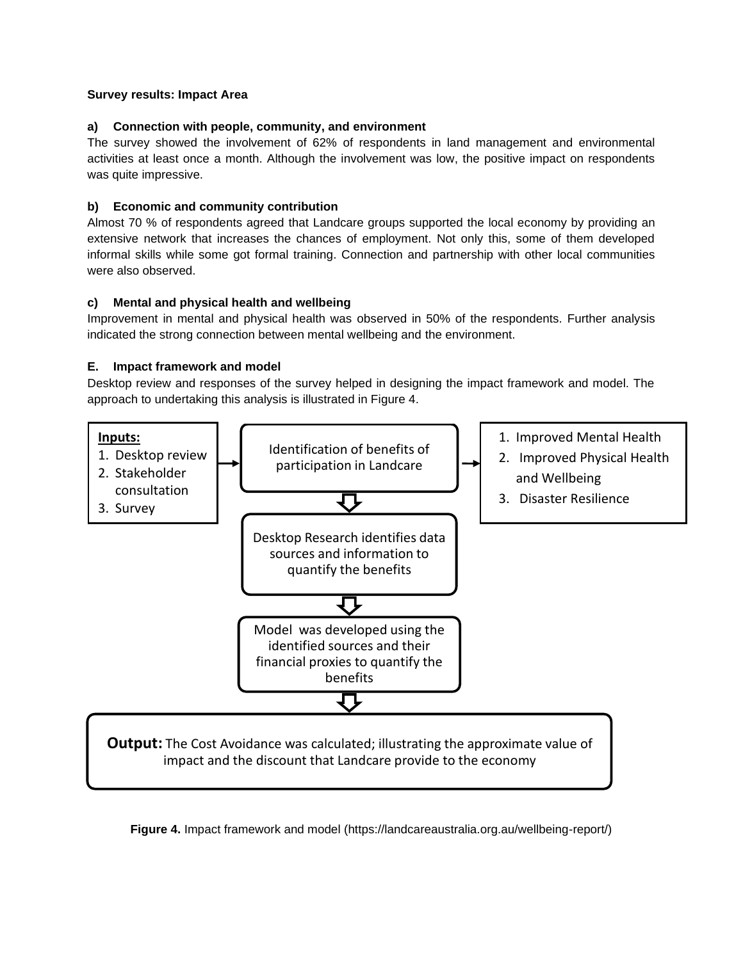### **Survey results: Impact Area**

### **a) Connection with people, community, and environment**

The survey showed the involvement of 62% of respondents in land management and environmental activities at least once a month. Although the involvement was low, the positive impact on respondents was quite impressive.

### **b) Economic and community contribution**

Almost 70 % of respondents agreed that Landcare groups supported the local economy by providing an extensive network that increases the chances of employment. Not only this, some of them developed informal skills while some got formal training. Connection and partnership with other local communities were also observed.

### **c) Mental and physical health and wellbeing**

Improvement in mental and physical health was observed in 50% of the respondents. Further analysis indicated the strong connection between mental wellbeing and the environment.

### **E. Impact framework and model**

Desktop review and responses of the survey helped in designing the impact framework and model. The approach to undertaking this analysis is illustrated in Figure 4.



**Figure 4.** Impact framework and model [\(https://landcareaustralia.org.au/wellbeing-report/\)](https://landcareaustralia.org.au/wellbeing-report/)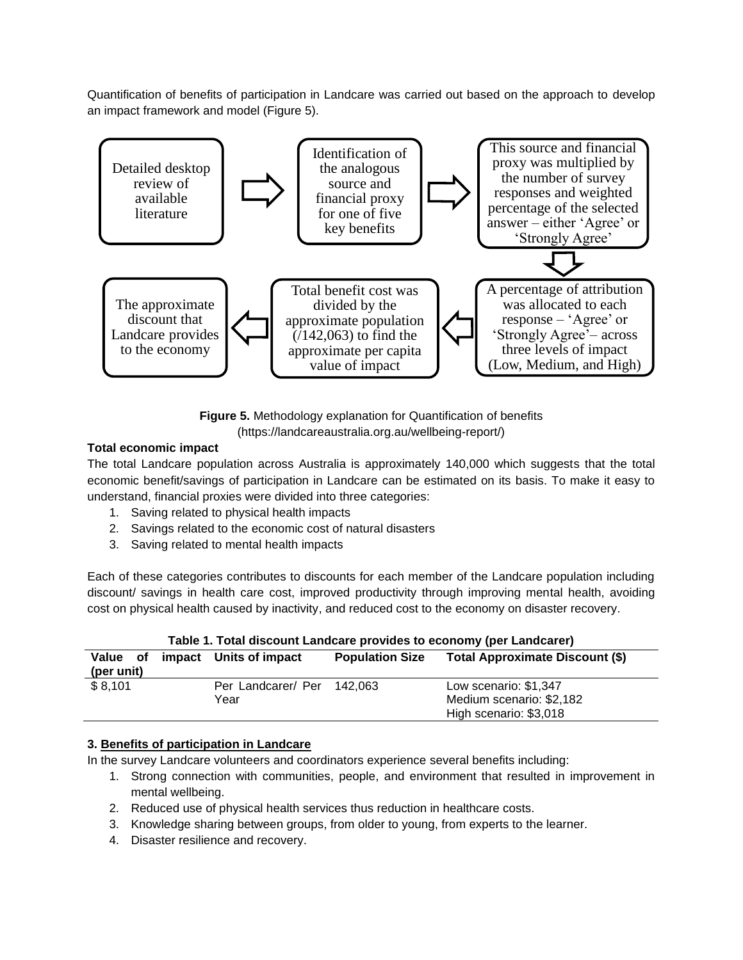Quantification of benefits of participation in Landcare was carried out based on the approach to develop an impact framework and model (Figure 5).



**Figure 5.** Methodology explanation for Quantification of benefits [\(https://landcareaustralia.org.au/wellbeing-report/\)](https://landcareaustralia.org.au/wellbeing-report/)

### **Total economic impact**

The total Landcare population across Australia is approximately 140,000 which suggests that the total economic benefit/savings of participation in Landcare can be estimated on its basis. To make it easy to understand, financial proxies were divided into three categories:

- 1. Saving related to physical health impacts
- 2. Savings related to the economic cost of natural disasters
- 3. Saving related to mental health impacts

Each of these categories contributes to discounts for each member of the Landcare population including discount/ savings in health care cost, improved productivity through improving mental health, avoiding cost on physical health caused by inactivity, and reduced cost to the economy on disaster recovery.

| Table 1. Total discount Landcare provides to economy (per Landcarer) |  |                            |                        |                                 |  |  |  |  |
|----------------------------------------------------------------------|--|----------------------------|------------------------|---------------------------------|--|--|--|--|
| Value of                                                             |  | impact Units of impact     | <b>Population Size</b> | Total Approximate Discount (\$) |  |  |  |  |
| (per unit)                                                           |  |                            |                        |                                 |  |  |  |  |
| \$8,101                                                              |  | Per Landcarer/ Per 142,063 |                        | Low scenario: \$1,347           |  |  |  |  |
|                                                                      |  | Year                       |                        | Medium scenario: \$2,182        |  |  |  |  |
|                                                                      |  |                            |                        | High scenario: \$3,018          |  |  |  |  |

### **3. Benefits of participation in Landcare**

In the survey Landcare volunteers and coordinators experience several benefits including:

- 1. Strong connection with communities, people, and environment that resulted in improvement in mental wellbeing.
- 2. Reduced use of physical health services thus reduction in healthcare costs.
- 3. Knowledge sharing between groups, from older to young, from experts to the learner.
- 4. Disaster resilience and recovery.